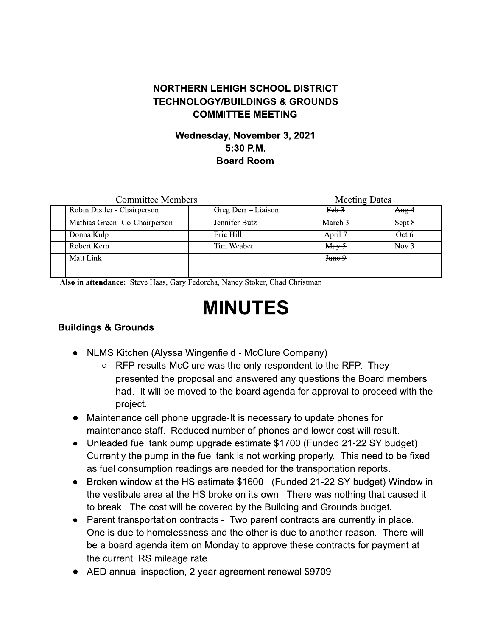## **NORTHERN LEHIGH SCHOOL DISTRICT TECHNOLOGY/BUILDINGS & GROUNDS COMMITTEE MEETING**

## Wednesday, November 3, 2021  $5:30$  P.M. **Board Room**

| <b>Committee Members</b> |                                |  |                     | <b>Meeting Dates</b>                  |                   |
|--------------------------|--------------------------------|--|---------------------|---------------------------------------|-------------------|
|                          | Robin Distler - Chairperson    |  | Greg Derr – Liaison | Feb 3                                 | $A_{\text{Hg}}$ 4 |
|                          | Mathias Green - Co-Chairperson |  | Jennifer Butz       | March 3                               | Sept 8            |
| Donna Kulp               |                                |  | Eric Hill           | $Apri + 7$                            | Oet 6             |
| Robert Kern              |                                |  | Tim Weaber          | $\frac{\text{May } 5}{\text{May } 5}$ | Nov $3$           |
| Matt Link                |                                |  |                     | June 9                                |                   |
|                          |                                |  |                     |                                       |                   |

Also in attendance: Steve Haas, Gary Fedorcha, Nancy Stoker, Chad Christman

# **MINUTES**

#### **Buildings & Grounds**

- NLMS Kitchen (Alyssa Wingenfield McClure Company)
	- $\circ$  RFP results-McClure was the only respondent to the RFP. They presented the proposal and answered any questions the Board members had. It will be moved to the board agenda for approval to proceed with the project.
- Maintenance cell phone upgrade-It is necessary to update phones for maintenance staff. Reduced number of phones and lower cost will result.
- Unleaded fuel tank pump upgrade estimate \$1700 (Funded 21-22 SY budget) Currently the pump in the fuel tank is not working properly. This need to be fixed as fuel consumption readings are needed for the transportation reports.
- Broken window at the HS estimate \$1600 (Funded 21-22 SY budget) Window in the vestibule area at the HS broke on its own. There was nothing that caused it to break. The cost will be covered by the Building and Grounds budget.
- Parent transportation contracts Two parent contracts are currently in place. One is due to homelessness and the other is due to another reason. There will be a board agenda item on Monday to approve these contracts for payment at the current IRS mileage rate.
- AED annual inspection, 2 year agreement renewal \$9709